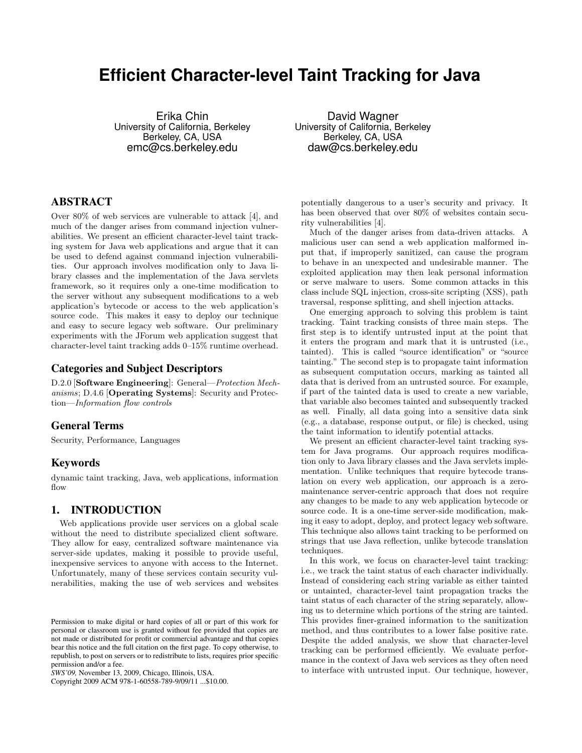# **Efficient Character-level Taint Tracking for Java**

Erika Chin University of California, Berkeley Berkeley, CA, USA emc@cs.berkeley.edu

# ABSTRACT

Over 80% of web services are vulnerable to attack [4], and much of the danger arises from command injection vulnerabilities. We present an efficient character-level taint tracking system for Java web applications and argue that it can be used to defend against command injection vulnerabilities. Our approach involves modification only to Java library classes and the implementation of the Java servlets framework, so it requires only a one-time modification to the server without any subsequent modifications to a web application's bytecode or access to the web application's source code. This makes it easy to deploy our technique and easy to secure legacy web software. Our preliminary experiments with the JForum web application suggest that character-level taint tracking adds 0–15% runtime overhead.

# Categories and Subject Descriptors

D.2.0 [Software Engineering]: General—Protection Mechanisms; D.4.6 [Operating Systems]: Security and Protection—Information flow controls

# General Terms

Security, Performance, Languages

## Keywords

dynamic taint tracking, Java, web applications, information flow

# 1. INTRODUCTION

Web applications provide user services on a global scale without the need to distribute specialized client software. They allow for easy, centralized software maintenance via server-side updates, making it possible to provide useful, inexpensive services to anyone with access to the Internet. Unfortunately, many of these services contain security vulnerabilities, making the use of web services and websites

Copyright 2009 ACM 978-1-60558-789-9/09/11 ...\$10.00.

David Wagner University of California, Berkeley Berkeley, CA, USA daw@cs.berkeley.edu

potentially dangerous to a user's security and privacy. It has been observed that over 80% of websites contain security vulnerabilities [4].

Much of the danger arises from data-driven attacks. A malicious user can send a web application malformed input that, if improperly sanitized, can cause the program to behave in an unexpected and undesirable manner. The exploited application may then leak personal information or serve malware to users. Some common attacks in this class include SQL injection, cross-site scripting (XSS), path traversal, response splitting, and shell injection attacks.

One emerging approach to solving this problem is taint tracking. Taint tracking consists of three main steps. The first step is to identify untrusted input at the point that it enters the program and mark that it is untrusted (i.e., tainted). This is called "source identification" or "source tainting." The second step is to propagate taint information as subsequent computation occurs, marking as tainted all data that is derived from an untrusted source. For example, if part of the tainted data is used to create a new variable, that variable also becomes tainted and subsequently tracked as well. Finally, all data going into a sensitive data sink (e.g., a database, response output, or file) is checked, using the taint information to identify potential attacks.

We present an efficient character-level taint tracking system for Java programs. Our approach requires modification only to Java library classes and the Java servlets implementation. Unlike techniques that require bytecode translation on every web application, our approach is a zeromaintenance server-centric approach that does not require any changes to be made to any web application bytecode or source code. It is a one-time server-side modification, making it easy to adopt, deploy, and protect legacy web software. This technique also allows taint tracking to be performed on strings that use Java reflection, unlike bytecode translation techniques.

In this work, we focus on character-level taint tracking: i.e., we track the taint status of each character individually. Instead of considering each string variable as either tainted or untainted, character-level taint propagation tracks the taint status of each character of the string separately, allowing us to determine which portions of the string are tainted. This provides finer-grained information to the sanitization method, and thus contributes to a lower false positive rate. Despite the added analysis, we show that character-level tracking can be performed efficiently. We evaluate performance in the context of Java web services as they often need to interface with untrusted input. Our technique, however,

Permission to make digital or hard copies of all or part of this work for personal or classroom use is granted without fee provided that copies are not made or distributed for profit or commercial advantage and that copies bear this notice and the full citation on the first page. To copy otherwise, to republish, to post on servers or to redistribute to lists, requires prior specific permission and/or a fee.

*SWS'09,* November 13, 2009, Chicago, Illinois, USA.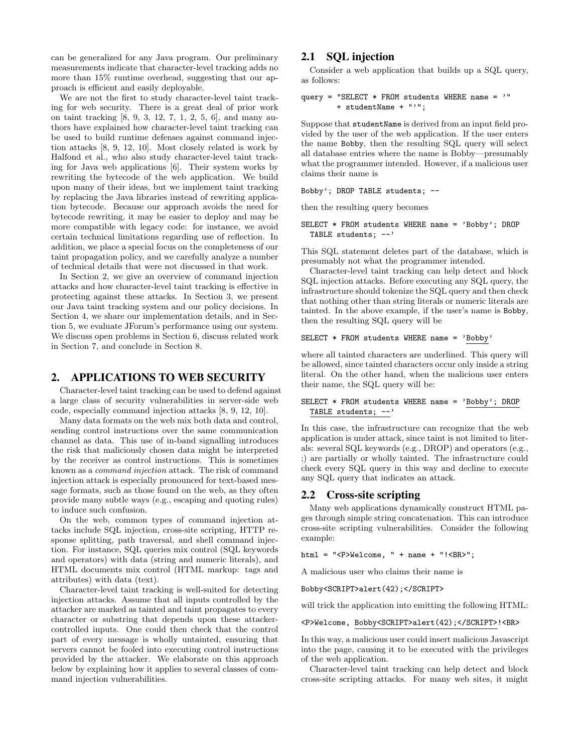can be generalized for any Java program. Our preliminary measurements indicate that character-level tracking adds no more than 15% runtime overhead, suggesting that our approach is efficient and easily deployable.

We are not the first to study character-level taint tracking for web security. There is a great deal of prior work on taint tracking [8, 9, 3, 12, 7, 1, 2, 5, 6], and many authors have explained how character-level taint tracking can be used to build runtime defenses against command injection attacks [8, 9, 12, 10]. Most closely related is work by Halfond et al., who also study character-level taint tracking for Java web applications [6]. Their system works by rewriting the bytecode of the web application. We build upon many of their ideas, but we implement taint tracking by replacing the Java libraries instead of rewriting application bytecode. Because our approach avoids the need for bytecode rewriting, it may be easier to deploy and may be more compatible with legacy code: for instance, we avoid certain technical limitations regarding use of reflection. In addition, we place a special focus on the completeness of our taint propagation policy, and we carefully analyze a number of technical details that were not discussed in that work.

In Section 2, we give an overview of command injection attacks and how character-level taint tracking is effective in protecting against these attacks. In Section 3, we present our Java taint tracking system and our policy decisions. In Section 4, we share our implementation details, and in Section 5, we evaluate JForum's performance using our system. We discuss open problems in Section 6, discuss related work in Section 7, and conclude in Section 8.

# 2. APPLICATIONS TO WEB SECURITY

Character-level taint tracking can be used to defend against a large class of security vulnerabilities in server-side web code, especially command injection attacks [8, 9, 12, 10].

Many data formats on the web mix both data and control, sending control instructions over the same communication channel as data. This use of in-band signalling introduces the risk that maliciously chosen data might be interpreted by the receiver as control instructions. This is sometimes known as a command injection attack. The risk of command injection attack is especially pronounced for text-based message formats, such as those found on the web, as they often provide many subtle ways (e.g., escaping and quoting rules) to induce such confusion.

On the web, common types of command injection attacks include SQL injection, cross-site scripting, HTTP response splitting, path traversal, and shell command injection. For instance, SQL queries mix control (SQL keywords and operators) with data (string and numeric literals), and HTML documents mix control (HTML markup: tags and attributes) with data (text).

Character-level taint tracking is well-suited for detecting injection attacks. Assume that all inputs controlled by the attacker are marked as tainted and taint propagates to every character or substring that depends upon these attackercontrolled inputs. One could then check that the control part of every message is wholly untainted, ensuring that servers cannot be fooled into executing control instructions provided by the attacker. We elaborate on this approach below by explaining how it applies to several classes of command injection vulnerabilities.

# 2.1 SQL injection

Consider a web application that builds up a SQL query, as follows:

```
query = "SELECT * FROM students WHERE name = '"
        + studentName + "'";
```
Suppose that studentName is derived from an input field provided by the user of the web application. If the user enters the name Bobby, then the resulting SQL query will select all database entries where the name is Bobby—presumably what the programmer intended. However, if a malicious user claims their name is

Bobby'; DROP TABLE students; --

then the resulting query becomes

SELECT \* FROM students WHERE name = 'Bobby'; DROP TABLE students; --'

This SQL statement deletes part of the database, which is presumably not what the programmer intended.

Character-level taint tracking can help detect and block SQL injection attacks. Before executing any SQL query, the infrastructure should tokenize the SQL query and then check that nothing other than string literals or numeric literals are tainted. In the above example, if the user's name is Bobby, then the resulting SQL query will be

```
SELECT * FROM students WHERE name = 'Bobby'
```
where all tainted characters are underlined. This query will be allowed, since tainted characters occur only inside a string literal. On the other hand, when the malicious user enters their name, the SQL query will be:

```
SELECT * FROM students WHERE name = 'Bobby'; DROP
  TABLE students; --'
```
In this case, the infrastructure can recognize that the web application is under attack, since taint is not limited to literals: several SQL keywords (e.g., DROP) and operators (e.g., ;) are partially or wholly tainted. The infrastructure could check every SQL query in this way and decline to execute any SQL query that indicates an attack.

## 2.2 Cross-site scripting

Many web applications dynamically construct HTML pages through simple string concatenation. This can introduce cross-site scripting vulnerabilities. Consider the following example:

```
html = "<P>Welcome, " + name + "!<BR>";
```
A malicious user who claims their name is

Bobby<SCRIPT>alert(42);</SCRIPT>

will trick the application into emitting the following HTML:

<P>Welcome, Bobby<SCRIPT>alert(42);</SCRIPT>!<BR>

In this way, a malicious user could insert malicious Javascript into the page, causing it to be executed with the privileges of the web application.

Character-level taint tracking can help detect and block cross-site scripting attacks. For many web sites, it might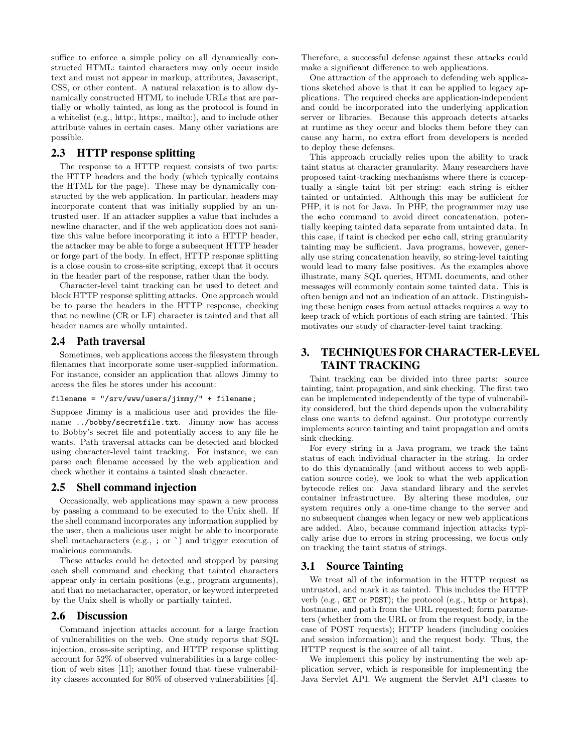suffice to enforce a simple policy on all dynamically constructed HTML: tainted characters may only occur inside text and must not appear in markup, attributes, Javascript, CSS, or other content. A natural relaxation is to allow dynamically constructed HTML to include URLs that are partially or wholly tainted, as long as the protocol is found in a whitelist (e.g., http:, https:, mailto:), and to include other attribute values in certain cases. Many other variations are possible.

# 2.3 HTTP response splitting

The response to a HTTP request consists of two parts: the HTTP headers and the body (which typically contains the HTML for the page). These may be dynamically constructed by the web application. In particular, headers may incorporate content that was initially supplied by an untrusted user. If an attacker supplies a value that includes a newline character, and if the web application does not sanitize this value before incorporating it into a HTTP header, the attacker may be able to forge a subsequent HTTP header or forge part of the body. In effect, HTTP response splitting is a close cousin to cross-site scripting, except that it occurs in the header part of the response, rather than the body.

Character-level taint tracking can be used to detect and block HTTP response splitting attacks. One approach would be to parse the headers in the HTTP response, checking that no newline (CR or LF) character is tainted and that all header names are wholly untainted.

#### 2.4 Path traversal

Sometimes, web applications access the filesystem through filenames that incorporate some user-supplied information. For instance, consider an application that allows Jimmy to access the files he stores under his account:

### filename = "/srv/www/users/jimmy/" + filename;

Suppose Jimmy is a malicious user and provides the filename ../bobby/secretfile.txt. Jimmy now has access to Bobby's secret file and potentially access to any file he wants. Path traversal attacks can be detected and blocked using character-level taint tracking. For instance, we can parse each filename accessed by the web application and check whether it contains a tainted slash character.

## 2.5 Shell command injection

Occasionally, web applications may spawn a new process by passing a command to be executed to the Unix shell. If the shell command incorporates any information supplied by the user, then a malicious user might be able to incorporate shell metacharacters (e.g., ; or `) and trigger execution of malicious commands.

These attacks could be detected and stopped by parsing each shell command and checking that tainted characters appear only in certain positions (e.g., program arguments), and that no metacharacter, operator, or keyword interpreted by the Unix shell is wholly or partially tainted.

#### 2.6 Discussion

Command injection attacks account for a large fraction of vulnerabilities on the web. One study reports that SQL injection, cross-site scripting, and HTTP response splitting account for 52% of observed vulnerabilities in a large collection of web sites [11]; another found that these vulnerability classes accounted for 80% of observed vulnerabilities [4]. Therefore, a successful defense against these attacks could make a significant difference to web applications.

One attraction of the approach to defending web applications sketched above is that it can be applied to legacy applications. The required checks are application-independent and could be incorporated into the underlying application server or libraries. Because this approach detects attacks at runtime as they occur and blocks them before they can cause any harm, no extra effort from developers is needed to deploy these defenses.

This approach crucially relies upon the ability to track taint status at character granularity. Many researchers have proposed taint-tracking mechanisms where there is conceptually a single taint bit per string: each string is either tainted or untainted. Although this may be sufficient for PHP, it is not for Java. In PHP, the programmer may use the echo command to avoid direct concatenation, potentially keeping tainted data separate from untainted data. In this case, if taint is checked per echo call, string granularity tainting may be sufficient. Java programs, however, generally use string concatenation heavily, so string-level tainting would lead to many false positives. As the examples above illustrate, many SQL queries, HTML documents, and other messages will commonly contain some tainted data. This is often benign and not an indication of an attack. Distinguishing these benign cases from actual attacks requires a way to keep track of which portions of each string are tainted. This motivates our study of character-level taint tracking.

# 3. TECHNIQUES FOR CHARACTER-LEVEL TAINT TRACKING

Taint tracking can be divided into three parts: source tainting, taint propagation, and sink checking. The first two can be implemented independently of the type of vulnerability considered, but the third depends upon the vulnerability class one wants to defend against. Our prototype currently implements source tainting and taint propagation and omits sink checking.

For every string in a Java program, we track the taint status of each individual character in the string. In order to do this dynamically (and without access to web application source code), we look to what the web application bytecode relies on: Java standard library and the servlet container infrastructure. By altering these modules, our system requires only a one-time change to the server and no subsequent changes when legacy or new web applications are added. Also, because command injection attacks typically arise due to errors in string processing, we focus only on tracking the taint status of strings.

#### 3.1 Source Tainting

We treat all of the information in the HTTP request as untrusted, and mark it as tainted. This includes the HTTP verb (e.g., GET or POST); the protocol (e.g., http or https), hostname, and path from the URL requested; form parameters (whether from the URL or from the request body, in the case of POST requests); HTTP headers (including cookies and session information); and the request body. Thus, the HTTP request is the source of all taint.

We implement this policy by instrumenting the web application server, which is responsible for implementing the Java Servlet API. We augment the Servlet API classes to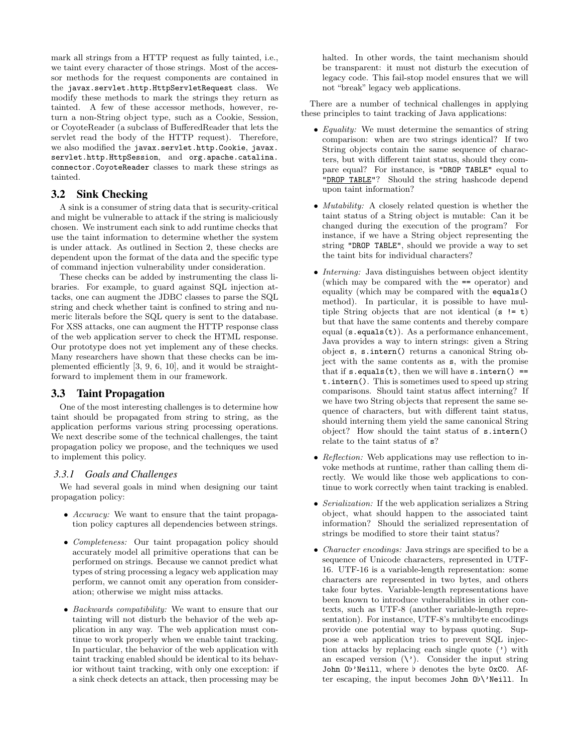mark all strings from a HTTP request as fully tainted, i.e., we taint every character of those strings. Most of the accessor methods for the request components are contained in the javax.servlet.http.HttpServletRequest class. We modify these methods to mark the strings they return as tainted. A few of these accessor methods, however, return a non-String object type, such as a Cookie, Session, or CoyoteReader (a subclass of BufferedReader that lets the servlet read the body of the HTTP request). Therefore, we also modified the javax.servlet.http.Cookie, javax. servlet.http.HttpSession, and org.apache.catalina. connector.CoyoteReader classes to mark these strings as tainted.

# 3.2 Sink Checking

A sink is a consumer of string data that is security-critical and might be vulnerable to attack if the string is maliciously chosen. We instrument each sink to add runtime checks that use the taint information to determine whether the system is under attack. As outlined in Section 2, these checks are dependent upon the format of the data and the specific type of command injection vulnerability under consideration.

These checks can be added by instrumenting the class libraries. For example, to guard against SQL injection attacks, one can augment the JDBC classes to parse the SQL string and check whether taint is confined to string and numeric literals before the SQL query is sent to the database. For XSS attacks, one can augment the HTTP response class of the web application server to check the HTML response. Our prototype does not yet implement any of these checks. Many researchers have shown that these checks can be implemented efficiently [3, 9, 6, 10], and it would be straightforward to implement them in our framework.

# 3.3 Taint Propagation

One of the most interesting challenges is to determine how taint should be propagated from string to string, as the application performs various string processing operations. We next describe some of the technical challenges, the taint propagation policy we propose, and the techniques we used to implement this policy.

## *3.3.1 Goals and Challenges*

We had several goals in mind when designing our taint propagation policy:

- Accuracy: We want to ensure that the taint propagation policy captures all dependencies between strings.
- *Completeness:* Our taint propagation policy should accurately model all primitive operations that can be performed on strings. Because we cannot predict what types of string processing a legacy web application may perform, we cannot omit any operation from consideration; otherwise we might miss attacks.
- Backwards compatibility: We want to ensure that our tainting will not disturb the behavior of the web application in any way. The web application must continue to work properly when we enable taint tracking. In particular, the behavior of the web application with taint tracking enabled should be identical to its behavior without taint tracking, with only one exception: if a sink check detects an attack, then processing may be

halted. In other words, the taint mechanism should be transparent: it must not disturb the execution of legacy code. This fail-stop model ensures that we will not "break" legacy web applications.

There are a number of technical challenges in applying these principles to taint tracking of Java applications:

- *Equality:* We must determine the semantics of string comparison: when are two strings identical? If two String objects contain the same sequence of characters, but with different taint status, should they compare equal? For instance, is "DROP TABLE" equal to "DROP TABLE"? Should the string hashcode depend upon taint information?
- *Mutability:* A closely related question is whether the taint status of a String object is mutable: Can it be changed during the execution of the program? For instance, if we have a String object representing the string "DROP TABLE", should we provide a way to set the taint bits for individual characters?
- *Interning:* Java distinguishes between object identity (which may be compared with the == operator) and equality (which may be compared with the equals() method). In particular, it is possible to have multiple String objects that are not identical  $(s := t)$ but that have the same contents and thereby compare equal  $(s.\text{equals}(t))$ . As a performance enhancement, Java provides a way to intern strings: given a String object s, s.intern() returns a canonical String object with the same contents as s, with the promise that if  $s.$  equals(t), then we will have  $s.$  intern() == t.intern(). This is sometimes used to speed up string comparisons. Should taint status affect interning? If we have two String objects that represent the same sequence of characters, but with different taint status, should interning them yield the same canonical String object? How should the taint status of s.intern() relate to the taint status of s?
- Reflection: Web applications may use reflection to invoke methods at runtime, rather than calling them directly. We would like those web applications to continue to work correctly when taint tracking is enabled.
- Serialization: If the web application serializes a String object, what should happen to the associated taint information? Should the serialized representation of strings be modified to store their taint status?
- *Character encodings:* Java strings are specified to be a sequence of Unicode characters, represented in UTF-16. UTF-16 is a variable-length representation: some characters are represented in two bytes, and others take four bytes. Variable-length representations have been known to introduce vulnerabilities in other contexts, such as UTF-8 (another variable-length representation). For instance, UTF-8's multibyte encodings provide one potential way to bypass quoting. Suppose a web application tries to prevent SQL injection attacks by replacing each single quote (') with an escaped version  $(\nabla)$ . Consider the input string John  $0\frac{1}{2}$  Neill, where  $\frac{1}{2}$  denotes the byte 0xC0. After escaping, the input becomes John  $0\frac{b}{v}$  Neill. In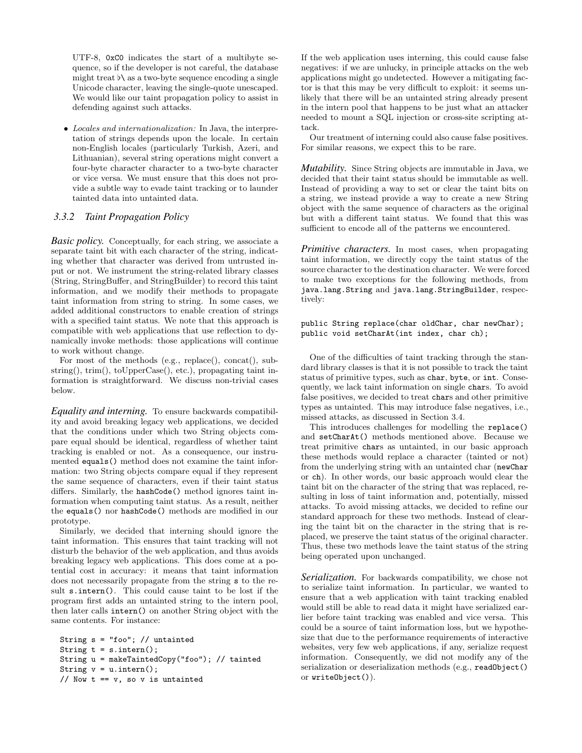UTF-8, 0xC0 indicates the start of a multibyte sequence, so if the developer is not careful, the database might treat  $\flat\$  as a two-byte sequence encoding a single Unicode character, leaving the single-quote unescaped. We would like our taint propagation policy to assist in defending against such attacks.

• Locales and internationalization: In Java, the interpretation of strings depends upon the locale. In certain non-English locales (particularly Turkish, Azeri, and Lithuanian), several string operations might convert a four-byte character character to a two-byte character or vice versa. We must ensure that this does not provide a subtle way to evade taint tracking or to launder tainted data into untainted data.

### *3.3.2 Taint Propagation Policy*

*Basic policy.* Conceptually, for each string, we associate a separate taint bit with each character of the string, indicating whether that character was derived from untrusted input or not. We instrument the string-related library classes (String, StringBuffer, and StringBuilder) to record this taint information, and we modify their methods to propagate taint information from string to string. In some cases, we added additional constructors to enable creation of strings with a specified taint status. We note that this approach is compatible with web applications that use reflection to dynamically invoke methods: those applications will continue to work without change.

For most of the methods (e.g., replace(), concat(), substring(), trim(), toUpperCase(), etc.), propagating taint information is straightforward. We discuss non-trivial cases below.

*Equality and interning.* To ensure backwards compatibility and avoid breaking legacy web applications, we decided that the conditions under which two String objects compare equal should be identical, regardless of whether taint tracking is enabled or not. As a consequence, our instrumented equals() method does not examine the taint information: two String objects compare equal if they represent the same sequence of characters, even if their taint status differs. Similarly, the hashCode() method ignores taint information when computing taint status. As a result, neither the equals() nor hashCode() methods are modified in our prototype.

Similarly, we decided that interning should ignore the taint information. This ensures that taint tracking will not disturb the behavior of the web application, and thus avoids breaking legacy web applications. This does come at a potential cost in accuracy: it means that taint information does not necessarily propagate from the string s to the result s.intern(). This could cause taint to be lost if the program first adds an untainted string to the intern pool, then later calls intern() on another String object with the same contents. For instance:

```
String s = "foo"; // untainted
String t = s.intern();
String u = makeTaintedCopy("foo"); // tainted
String v = u. intern();
// Now t == v, so v is untainted
```
If the web application uses interning, this could cause false negatives: if we are unlucky, in principle attacks on the web applications might go undetected. However a mitigating factor is that this may be very difficult to exploit: it seems unlikely that there will be an untainted string already present in the intern pool that happens to be just what an attacker needed to mount a SQL injection or cross-site scripting attack.

Our treatment of interning could also cause false positives. For similar reasons, we expect this to be rare.

*Mutability.* Since String objects are immutable in Java, we decided that their taint status should be immutable as well. Instead of providing a way to set or clear the taint bits on a string, we instead provide a way to create a new String object with the same sequence of characters as the original but with a different taint status. We found that this was sufficient to encode all of the patterns we encountered.

*Primitive characters.* In most cases, when propagating taint information, we directly copy the taint status of the source character to the destination character. We were forced to make two exceptions for the following methods, from java.lang.String and java.lang.StringBuilder, respectively:

#### public String replace(char oldChar, char newChar); public void setCharAt(int index, char ch);

One of the difficulties of taint tracking through the standard library classes is that it is not possible to track the taint status of primitive types, such as char, byte, or int. Consequently, we lack taint information on single chars. To avoid false positives, we decided to treat chars and other primitive types as untainted. This may introduce false negatives, i.e., missed attacks, as discussed in Section 3.4.

This introduces challenges for modelling the replace() and setCharAt() methods mentioned above. Because we treat primitive chars as untainted, in our basic approach these methods would replace a character (tainted or not) from the underlying string with an untainted char (newChar or ch). In other words, our basic approach would clear the taint bit on the character of the string that was replaced, resulting in loss of taint information and, potentially, missed attacks. To avoid missing attacks, we decided to refine our standard approach for these two methods. Instead of clearing the taint bit on the character in the string that is replaced, we preserve the taint status of the original character. Thus, these two methods leave the taint status of the string being operated upon unchanged.

*Serialization.* For backwards compatibility, we chose not to serialize taint information. In particular, we wanted to ensure that a web application with taint tracking enabled would still be able to read data it might have serialized earlier before taint tracking was enabled and vice versa. This could be a source of taint information loss, but we hypothesize that due to the performance requirements of interactive websites, very few web applications, if any, serialize request information. Consequently, we did not modify any of the serialization or deserialization methods (e.g., readObject() or writeObject()).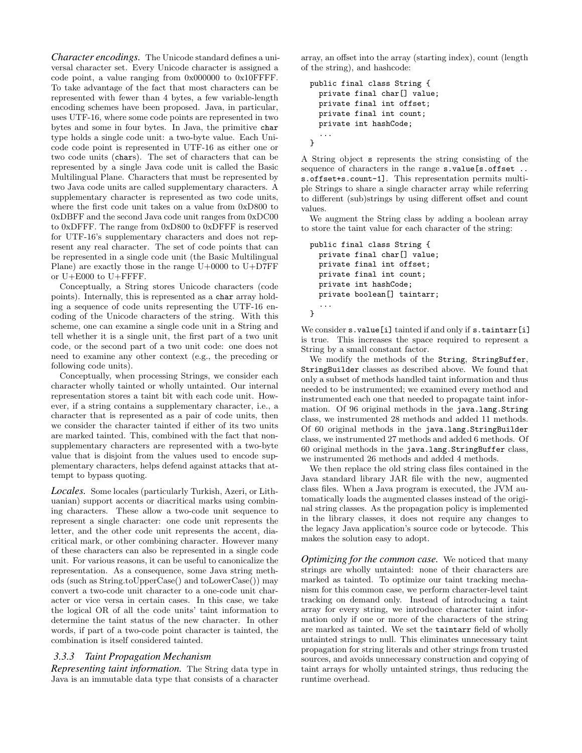*Character encodings.* The Unicode standard defines a universal character set. Every Unicode character is assigned a code point, a value ranging from 0x000000 to 0x10FFFF. To take advantage of the fact that most characters can be represented with fewer than 4 bytes, a few variable-length encoding schemes have been proposed. Java, in particular, uses UTF-16, where some code points are represented in two bytes and some in four bytes. In Java, the primitive char type holds a single code unit: a two-byte value. Each Unicode code point is represented in UTF-16 as either one or two code units (chars). The set of characters that can be represented by a single Java code unit is called the Basic Multilingual Plane. Characters that must be represented by two Java code units are called supplementary characters. A supplementary character is represented as two code units, where the first code unit takes on a value from 0xD800 to 0xDBFF and the second Java code unit ranges from 0xDC00 to 0xDFFF. The range from 0xD800 to 0xDFFF is reserved for UTF-16's supplementary characters and does not represent any real character. The set of code points that can be represented in a single code unit (the Basic Multilingual Plane) are exactly those in the range  $U+0000$  to  $U+DTFF$ or U+E000 to U+FFFF.

Conceptually, a String stores Unicode characters (code points). Internally, this is represented as a char array holding a sequence of code units representing the UTF-16 encoding of the Unicode characters of the string. With this scheme, one can examine a single code unit in a String and tell whether it is a single unit, the first part of a two unit code, or the second part of a two unit code: one does not need to examine any other context (e.g., the preceding or following code units).

Conceptually, when processing Strings, we consider each character wholly tainted or wholly untainted. Our internal representation stores a taint bit with each code unit. However, if a string contains a supplementary character, i.e., a character that is represented as a pair of code units, then we consider the character tainted if either of its two units are marked tainted. This, combined with the fact that nonsupplementary characters are represented with a two-byte value that is disjoint from the values used to encode supplementary characters, helps defend against attacks that attempt to bypass quoting.

*Locales.* Some locales (particularly Turkish, Azeri, or Lithuanian) support accents or diacritical marks using combining characters. These allow a two-code unit sequence to represent a single character: one code unit represents the letter, and the other code unit represents the accent, diacritical mark, or other combining character. However many of these characters can also be represented in a single code unit. For various reasons, it can be useful to canonicalize the representation. As a consequence, some Java string methods (such as String.toUpperCase() and toLowerCase()) may convert a two-code unit character to a one-code unit character or vice versa in certain cases. In this case, we take the logical OR of all the code units' taint information to determine the taint status of the new character. In other words, if part of a two-code point character is tainted, the combination is itself considered tainted.

#### *3.3.3 Taint Propagation Mechanism*

*Representing taint information.* The String data type in Java is an immutable data type that consists of a character

array, an offset into the array (starting index), count (length of the string), and hashcode:

```
public final class String {
 private final char[] value;
 private final int offset;
 private final int count;
 private int hashCode;
  ...
}
```
A String object s represents the string consisting of the sequence of characters in the range s.value[s.offset .. s.offset+s.count-1]. This representation permits multiple Strings to share a single character array while referring to different (sub)strings by using different offset and count values.

We augment the String class by adding a boolean array to store the taint value for each character of the string:

```
public final class String {
 private final char[] value;
 private final int offset;
 private final int count;
 private int hashCode;
 private boolean[] taintarr;
  ...
}
```
We consider s. value [i] tainted if and only if s. taintarr [i] is true. This increases the space required to represent a String by a small constant factor.

We modify the methods of the String, StringBuffer, StringBuilder classes as described above. We found that only a subset of methods handled taint information and thus needed to be instrumented; we examined every method and instrumented each one that needed to propagate taint information. Of 96 original methods in the java.lang.String class, we instrumented 28 methods and added 11 methods. Of 60 original methods in the java.lang.StringBuilder class, we instrumented 27 methods and added 6 methods. Of 60 original methods in the java.lang.StringBuffer class, we instrumented 26 methods and added 4 methods.

We then replace the old string class files contained in the Java standard library JAR file with the new, augmented class files. When a Java program is executed, the JVM automatically loads the augmented classes instead of the original string classes. As the propagation policy is implemented in the library classes, it does not require any changes to the legacy Java application's source code or bytecode. This makes the solution easy to adopt.

*Optimizing for the common case.* We noticed that many strings are wholly untainted: none of their characters are marked as tainted. To optimize our taint tracking mechanism for this common case, we perform character-level taint tracking on demand only. Instead of introducing a taint array for every string, we introduce character taint information only if one or more of the characters of the string are marked as tainted. We set the taintarr field of wholly untainted strings to null. This eliminates unnecessary taint propagation for string literals and other strings from trusted sources, and avoids unnecessary construction and copying of taint arrays for wholly untainted strings, thus reducing the runtime overhead.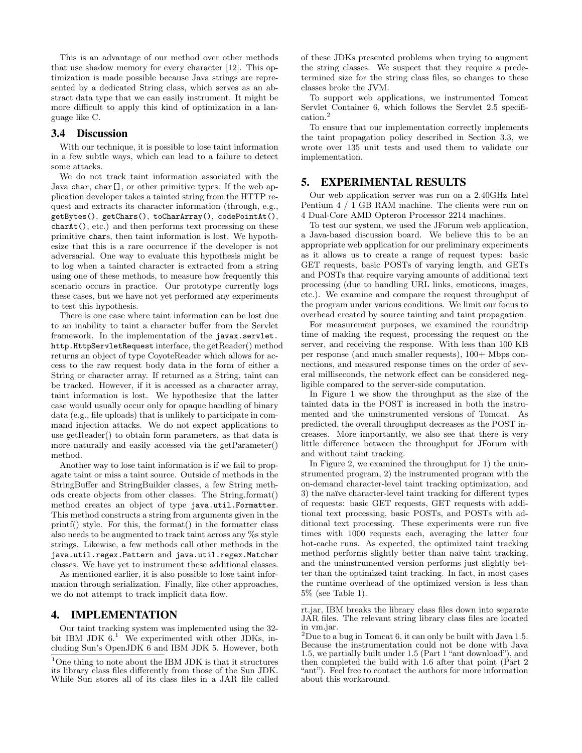This is an advantage of our method over other methods that use shadow memory for every character [12]. This optimization is made possible because Java strings are represented by a dedicated String class, which serves as an abstract data type that we can easily instrument. It might be more difficult to apply this kind of optimization in a language like C.

# 3.4 Discussion

With our technique, it is possible to lose taint information in a few subtle ways, which can lead to a failure to detect some attacks.

We do not track taint information associated with the Java char, char[], or other primitive types. If the web application developer takes a tainted string from the HTTP request and extracts its character information (through, e.g., getBytes(), getChars(), toCharArray(), codePointAt(), charAt(), etc.) and then performs text processing on these primitive chars, then taint information is lost. We hypothesize that this is a rare occurrence if the developer is not adversarial. One way to evaluate this hypothesis might be to log when a tainted character is extracted from a string using one of these methods, to measure how frequently this scenario occurs in practice. Our prototype currently logs these cases, but we have not yet performed any experiments to test this hypothesis.

There is one case where taint information can be lost due to an inability to taint a character buffer from the Servlet framework. In the implementation of the javax.servlet. http.HttpServletRequest interface, the getReader() method returns an object of type CoyoteReader which allows for access to the raw request body data in the form of either a String or character array. If returned as a String, taint can be tracked. However, if it is accessed as a character array, taint information is lost. We hypothesize that the latter case would usually occur only for opaque handling of binary data (e.g., file uploads) that is unlikely to participate in command injection attacks. We do not expect applications to use getReader() to obtain form parameters, as that data is more naturally and easily accessed via the getParameter() method.

Another way to lose taint information is if we fail to propagate taint or miss a taint source. Outside of methods in the StringBuffer and StringBuilder classes, a few String methods create objects from other classes. The String.format() method creates an object of type java.util.Formatter. This method constructs a string from arguments given in the printf() style. For this, the format() in the formatter class also needs to be augmented to track taint across any %s style strings. Likewise, a few methods call other methods in the java.util.regex.Pattern and java.util.regex.Matcher classes. We have yet to instrument these additional classes.

As mentioned earlier, it is also possible to lose taint information through serialization. Finally, like other approaches, we do not attempt to track implicit data flow.

## 4. IMPLEMENTATION

Our taint tracking system was implemented using the 32 bit IBM JDK  $6<sup>1</sup>$  We experimented with other JDKs, including Sun's OpenJDK 6 and IBM JDK 5. However, both of these JDKs presented problems when trying to augment the string classes. We suspect that they require a predetermined size for the string class files, so changes to these classes broke the JVM.

To support web applications, we instrumented Tomcat Servlet Container 6, which follows the Servlet 2.5 specification.<sup>2</sup>

To ensure that our implementation correctly implements the taint propagation policy described in Section 3.3, we wrote over 135 unit tests and used them to validate our implementation.

# 5. EXPERIMENTAL RESULTS

Our web application server was run on a 2.40GHz Intel Pentium 4 / 1 GB RAM machine. The clients were run on 4 Dual-Core AMD Opteron Processor 2214 machines.

To test our system, we used the JForum web application, a Java-based discussion board. We believe this to be an appropriate web application for our preliminary experiments as it allows us to create a range of request types: basic GET requests, basic POSTs of varying length, and GETs and POSTs that require varying amounts of additional text processing (due to handling URL links, emoticons, images, etc.). We examine and compare the request throughput of the program under various conditions. We limit our focus to overhead created by source tainting and taint propagation.

For measurement purposes, we examined the roundtrip time of making the request, processing the request on the server, and receiving the response. With less than 100 KB per response (and much smaller requests), 100+ Mbps connections, and measured response times on the order of several milliseconds, the network effect can be considered negligible compared to the server-side computation.

In Figure 1 we show the throughput as the size of the tainted data in the POST is increased in both the instrumented and the uninstrumented versions of Tomcat. As predicted, the overall throughput decreases as the POST increases. More importantly, we also see that there is very little difference between the throughput for JForum with and without taint tracking.

In Figure 2, we examined the throughput for 1) the uninstrumented program, 2) the instrumented program with the on-demand character-level taint tracking optimization, and 3) the naïve character-level taint tracking for different types of requests: basic GET requests, GET requests with additional text processing, basic POSTs, and POSTs with additional text processing. These experiments were run five times with 1000 requests each, averaging the latter four hot-cache runs. As expected, the optimized taint tracking method performs slightly better than naïve taint tracking, and the uninstrumented version performs just slightly better than the optimized taint tracking. In fact, in most cases the runtime overhead of the optimized version is less than 5% (see Table 1).

 $1$ One thing to note about the IBM JDK is that it structures its library class files differently from those of the Sun JDK. While Sun stores all of its class files in a JAR file called

rt.jar, IBM breaks the library class files down into separate JAR files. The relevant string library class files are located in vm.jar.

<sup>&</sup>lt;sup>2</sup>Due to a bug in Tomcat 6, it can only be built with Java 1.5. Because the instrumentation could not be done with Java 1.5, we partially built under 1.5 (Part 1 "ant download"), and then completed the build with 1.6 after that point (Part 2 "ant"). Feel free to contact the authors for more information about this workaround.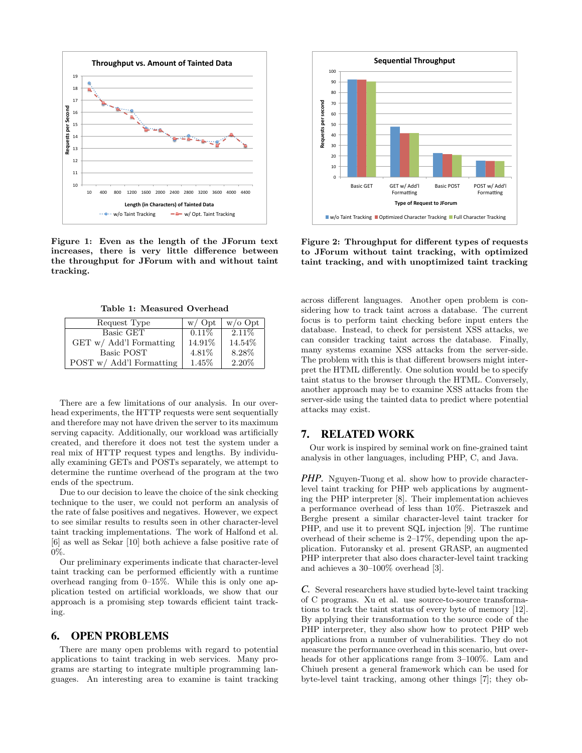

Figure 1: Even as the length of the JForum text increases, there is very little difference between the throughput for JForum with and without taint tracking.

Table 1: Measured Overhead

| Request Type               | w / Opt  | $w$ /0 Opt |
|----------------------------|----------|------------|
| Basic GET                  | $0.11\%$ | 2.11\%     |
| $GET w / Add'l$ Formatting | 14.91%   | 14.54%     |
| Basic POST                 | 4.81%    | 8.28%      |
| POST w/ Add'l Formatting   | 1.45%    | 2.20%      |

There are a few limitations of our analysis. In our overhead experiments, the HTTP requests were sent sequentially and therefore may not have driven the server to its maximum serving capacity. Additionally, our workload was artificially created, and therefore it does not test the system under a real mix of HTTP request types and lengths. By individually examining GETs and POSTs separately, we attempt to determine the runtime overhead of the program at the two ends of the spectrum.

Due to our decision to leave the choice of the sink checking technique to the user, we could not perform an analysis of the rate of false positives and negatives. However, we expect to see similar results to results seen in other character-level taint tracking implementations. The work of Halfond et al. [6] as well as Sekar [10] both achieve a false positive rate of 0%.

Our preliminary experiments indicate that character-level taint tracking can be performed efficiently with a runtime overhead ranging from 0–15%. While this is only one application tested on artificial workloads, we show that our approach is a promising step towards efficient taint tracking.

### 6. OPEN PROBLEMS

There are many open problems with regard to potential applications to taint tracking in web services. Many programs are starting to integrate multiple programming languages. An interesting area to examine is taint tracking



Figure 2: Throughput for different types of requests to JForum without taint tracking, with optimized taint tracking, and with unoptimized taint tracking

across different languages. Another open problem is considering how to track taint across a database. The current focus is to perform taint checking before input enters the database. Instead, to check for persistent XSS attacks, we can consider tracking taint across the database. Finally, many systems examine XSS attacks from the server-side. The problem with this is that different browsers might interpret the HTML differently. One solution would be to specify taint status to the browser through the HTML. Conversely, another approach may be to examine XSS attacks from the server-side using the tainted data to predict where potential attacks may exist.

# 7. RELATED WORK

Our work is inspired by seminal work on fine-grained taint analysis in other languages, including PHP, C, and Java.

*PHP.* Nguyen-Tuong et al. show how to provide characterlevel taint tracking for PHP web applications by augmenting the PHP interpreter [8]. Their implementation achieves a performance overhead of less than 10%. Pietraszek and Berghe present a similar character-level taint tracker for PHP, and use it to prevent SQL injection [9]. The runtime overhead of their scheme is 2–17%, depending upon the application. Futoransky et al. present GRASP, an augmented PHP interpreter that also does character-level taint tracking and achieves a 30–100% overhead [3].

*C.* Several researchers have studied byte-level taint tracking of C programs. Xu et al. use source-to-source transformations to track the taint status of every byte of memory [12]. By applying their transformation to the source code of the PHP interpreter, they also show how to protect PHP web applications from a number of vulnerabilities. They do not measure the performance overhead in this scenario, but overheads for other applications range from 3–100%. Lam and Chiueh present a general framework which can be used for byte-level taint tracking, among other things [7]; they ob